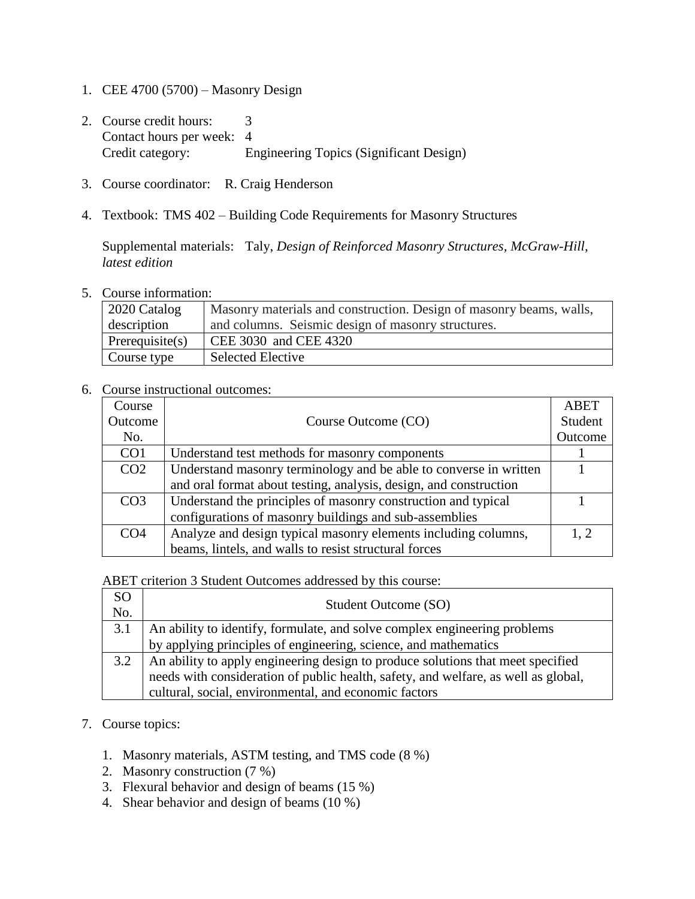- 1. CEE 4700 (5700) Masonry Design
- 2. Course credit hours: 3 Contact hours per week: 4 Credit category: Engineering Topics (Significant Design)
- 3. Course coordinator: R. Craig Henderson
- 4. Textbook: TMS 402 Building Code Requirements for Masonry Structures

Supplemental materials: Taly, *Design of Reinforced Masonry Structures, McGraw-Hill, latest edition*

5. Course information:

| $\vert$ 2020 Catalog | Masonry materials and construction. Design of masonry beams, walls, |  |
|----------------------|---------------------------------------------------------------------|--|
| description          | and columns. Seismic design of masonry structures.                  |  |
| Prerequisite(s)      | $\vert$ CEE 3030 and CEE 4320                                       |  |
| Course type          | <b>Selected Elective</b>                                            |  |

## 6. Course instructional outcomes:

| Course          |                                                                   | <b>ABET</b> |
|-----------------|-------------------------------------------------------------------|-------------|
| Outcome         | Course Outcome (CO)                                               | Student     |
| No.             |                                                                   | Outcome     |
| CO <sub>1</sub> | Understand test methods for masonry components                    |             |
| CO <sub>2</sub> | Understand masonry terminology and be able to converse in written |             |
|                 | and oral format about testing, analysis, design, and construction |             |
| CO <sub>3</sub> | Understand the principles of masonry construction and typical     |             |
|                 | configurations of masonry buildings and sub-assemblies            |             |
| CO <sub>4</sub> | Analyze and design typical masonry elements including columns,    | 1.2         |
|                 | beams, lintels, and walls to resist structural forces             |             |

ABET criterion 3 Student Outcomes addressed by this course:

| <sub>SO</sub><br>No. | Student Outcome (SO)                                                               |
|----------------------|------------------------------------------------------------------------------------|
| 3.1                  | An ability to identify, formulate, and solve complex engineering problems          |
|                      | by applying principles of engineering, science, and mathematics                    |
| 3.2                  | An ability to apply engineering design to produce solutions that meet specified    |
|                      | needs with consideration of public health, safety, and welfare, as well as global, |
|                      | cultural, social, environmental, and economic factors                              |

- 7. Course topics:
	- 1. Masonry materials, ASTM testing, and TMS code (8 %)
	- 2. Masonry construction (7 %)
	- 3. Flexural behavior and design of beams (15 %)
	- 4. Shear behavior and design of beams (10 %)